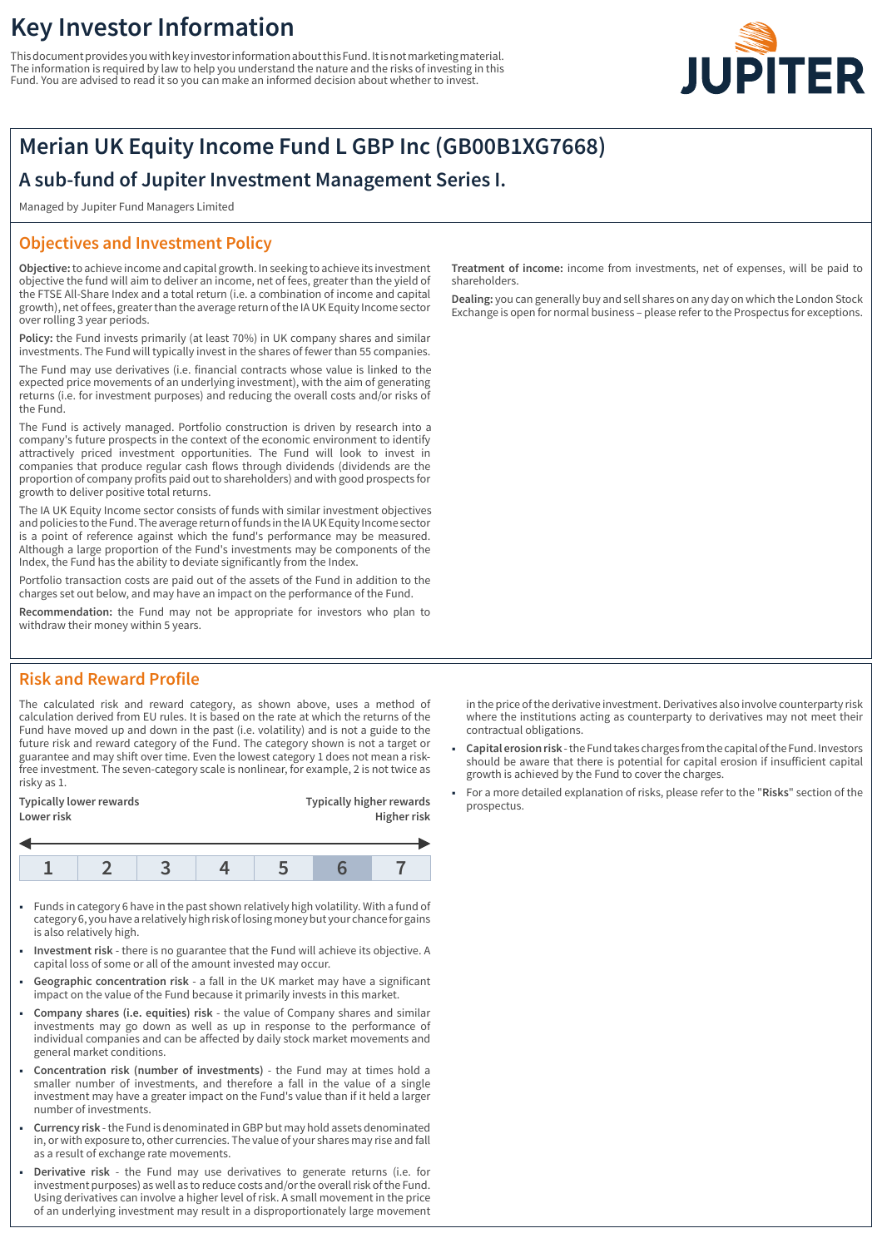# **Key Investor Information**

This document provides you with key investor information about this Fund. It is not marketing material. The information is required by law to help you understand the nature and the risks of investing in this Fund. You are advised to read it so you can make an informed decision about whether to invest.



# **Merian UK Equity Income Fund L GBP Inc (GB00B1XG7668)**

# **A sub-fund of Jupiter Investment Management Series I.**

Managed by Jupiter Fund Managers Limited

## **Objectives and Investment Policy**

**Objective:** to achieve income and capital growth. In seeking to achieve its investment objective the fund will aim to deliver an income, net of fees, greater than the yield of the FTSE All-Share Index and a total return (i.e. a combination of income and capital growth), net of fees, greater than the average return of the IA UK Equity Income sector over rolling 3 year periods.

**Policy:** the Fund invests primarily (at least 70%) in UK company shares and similar investments. The Fund will typically invest in the shares of fewer than 55 companies.

The Fund may use derivatives (i.e. financial contracts whose value is linked to the expected price movements of an underlying investment), with the aim of generating returns (i.e. for investment purposes) and reducing the overall costs and/or risks of the Fund.

The Fund is actively managed. Portfolio construction is driven by research into a company's future prospects in the context of the economic environment to identify attractively priced investment opportunities. The Fund will look to invest in companies that produce regular cash flows through dividends (dividends are the proportion of company profits paid out to shareholders) and with good prospects for growth to deliver positive total returns.

The IA UK Equity Income sector consists of funds with similar investment objectives and policies to the Fund. The average return of funds in the IA UK Equity Income sector is a point of reference against which the fund's performance may be measured. Although a large proportion of the Fund's investments may be components of the Index, the Fund has the ability to deviate significantly from the Index.

Portfolio transaction costs are paid out of the assets of the Fund in addition to the charges set out below, and may have an impact on the performance of the Fund.

**Recommendation:** the Fund may not be appropriate for investors who plan to withdraw their money within 5 years.

### **Risk and Reward Profile**

The calculated risk and reward category, as shown above, uses a method of calculation derived from EU rules. It is based on the rate at which the returns of the Fund have moved up and down in the past (i.e. volatility) and is not a guide to the future risk and reward category of the Fund. The category shown is not a target or guarantee and may shift over time. Even the lowest category 1 does not mean a riskfree investment. The seven-category scale is nonlinear, for example, 2 is not twice as risky as 1.

| <b>Typically lower rewards</b><br>Lower risk |  |  |  | <b>Typically higher rewards</b><br>Higher risk |  |  |
|----------------------------------------------|--|--|--|------------------------------------------------|--|--|
|                                              |  |  |  |                                                |  |  |
|                                              |  |  |  |                                                |  |  |

- 1 Funds in category 6 have in the past shown relatively high volatility. With a fund of category 6, you have a relatively high risk of losing money but your chance for gains is also relatively high.
- 1 **Investment risk** there is no guarantee that the Fund will achieve its objective. A capital loss of some or all of the amount invested may occur.
- 1 **Geographic concentration risk** a fall in the UK market may have a significant impact on the value of the Fund because it primarily invests in this market.
- 1 **Company shares (i.e. equities) risk** the value of Company shares and similar investments may go down as well as up in response to the performance of individual companies and can be affected by daily stock market movements and general market conditions.
- 1 **Concentration risk (number of investments)** the Fund may at times hold a smaller number of investments, and therefore a fall in the value of a single investment may have a greater impact on the Fund's value than if it held a larger number of investments.
- 1 **Currency risk** the Fund is denominated in GBP but may hold assets denominated in, or with exposure to, other currencies. The value of your shares may rise and fall as a result of exchange rate movements.
- 1 **Derivative risk** the Fund may use derivatives to generate returns (i.e. for investment purposes) as well as to reduce costs and/or the overall risk of the Fund. Using derivatives can involve a higher level of risk. A small movement in the price of an underlying investment may result in a disproportionately large movement

**Treatment of income:** income from investments, net of expenses, will be paid to shareholders.

**Dealing:** you can generally buy and sell shares on any day on which the London Stock Exchange is open for normal business – please refer to the Prospectus for exceptions.

in the price of the derivative investment. Derivatives also involve counterparty risk where the institutions acting as counterparty to derivatives may not meet their contractual obligations.

- 1 **Capital erosion risk** the Fund takes charges from the capital of the Fund. Investors should be aware that there is potential for capital erosion if insufficient capital growth is achieved by the Fund to cover the charges.
- 1 For a more detailed explanation of risks, please refer to the "**Risks**" section of the prospectus.